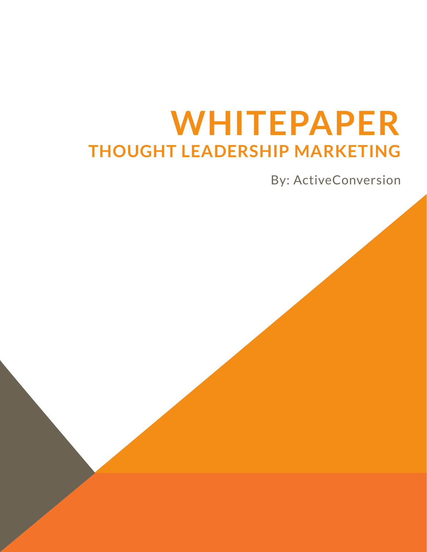# **WHITEPAPER THOUGHT LEADERSHIP MARKETING**

By: ActiveConversion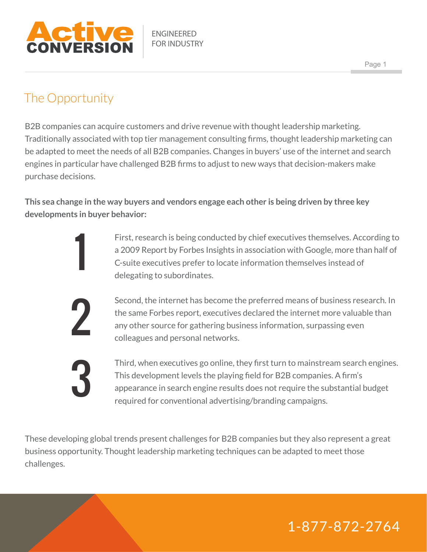

#### The Opportunity

1

2

3

B2B companies can acquire customers and drive revenue with thought leadership marketing. Traditionally associated with top tier management consulting firms, thought leadership marketing can be adapted to meet the needs of all B2B companies. Changes in buyers' use of the internet and search engines in particular have challenged B2B firms to adjust to new ways that decision-makers make purchase decisions.

**This sea change in the way buyers and vendors engage each other is being driven by three key developments in buyer behavior:**

> First, research is being conducted by chief executives themselves. According to a 2009 Report by Forbes Insights in association with Google, more than half of C-suite executives prefer to locate information themselves instead of delegating to subordinates.

Second, the internet has become the preferred means of business research. In the same Forbes report, executives declared the internet more valuable than any other source for gathering business information, surpassing even colleagues and personal networks.

Third, when executives go online, they first turn to mainstream search engines. This development levels the playing field for B2B companies. A firm's appearance in search engine results does not require the substantial budget required for conventional advertising/branding campaigns.

These developing global trends present challenges for B2B companies but they also represent a great business opportunity. Thought leadership marketing techniques can be adapted to meet those challenges.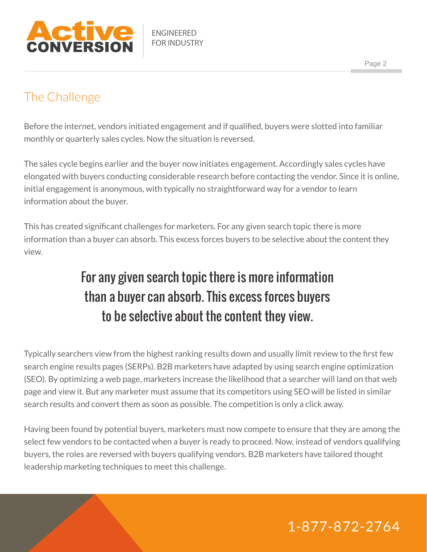

#### The Challenge

Before the internet, vendors initiated engagement and if qualified, buyers were slotted into familiar monthly or quarterly sales cycles. Now the situation is reversed.

The sales cycle begins earlier and the buyer now initiates engagement. Accordingly sales cycles have elongated with buyers conducting considerable research before contacting the vendor. Since it is online, initial engagement is anonymous, with typically no straightforward way for a vendor to learn information about the buyer.

This has created significant challenges for marketers. For any given search topic there is more information than a buyer can absorb. This excess forces buyers to be selective about the content they view.

# For any given search topic there is more information than a buyer can absorb. This excess forces buyers to be selective about the content they view.

Typically searchers view from the highest ranking results down and usually limit review to the first few search engine results pages (SERPs). B2B marketers have adapted by using search engine optimization (SEO). By optimizing a web page, marketers increase the likelihood that a searcher will land on that web page and view it. But any marketer must assume that its competitors using SEO will be listed in similar search results and convert them as soon as possible. The competition is only a click away.

Having been found by potential buyers, marketers must now compete to ensure that they are among the select few vendors to be contacted when a buyer is ready to proceed. Now, instead of vendors qualifying buyers, the roles are reversed with buyers qualifying vendors. B2B marketers have tailored thought leadership marketing techniques to meet this challenge.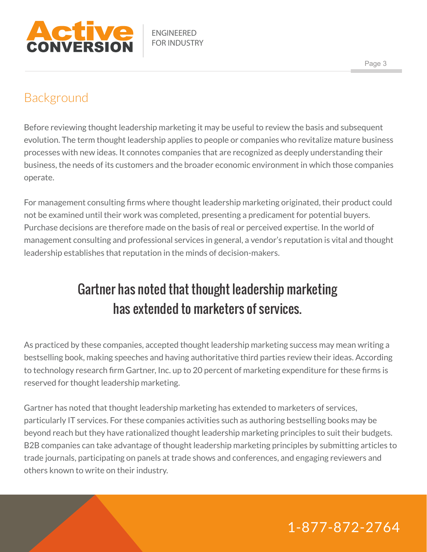

#### Background

Before reviewing thought leadership marketing it may be useful to review the basis and subsequent evolution. The term thought leadership applies to people or companies who revitalize mature business processes with new ideas. It connotes companies that are recognized as deeply understanding their business, the needs of its customers and the broader economic environment in which those companies operate.

For management consulting firms where thought leadership marketing originated, their product could not be examined until their work was completed, presenting a predicament for potential buyers. Purchase decisions are therefore made on the basis of real or perceived expertise. In the world of management consulting and professional services in general, a vendor's reputation is vital and thought leadership establishes that reputation in the minds of decision-makers.

# Gartner has noted that thought leadership marketing has extended to marketers of services.

As practiced by these companies, accepted thought leadership marketing success may mean writing a bestselling book, making speeches and having authoritative third parties review their ideas. According to technology research firm Gartner, Inc. up to 20 percent of marketing expenditure for these firms is reserved for thought leadership marketing.

Gartner has noted that thought leadership marketing has extended to marketers of services, particularly IT services. For these companies activities such as authoring bestselling books may be beyond reach but they have rationalized thought leadership marketing principles to suit their budgets. B2B companies can take advantage of thought leadership marketing principles by submitting articles to trade journals, participating on panels at trade shows and conferences, and engaging reviewers and others known to write on their industry.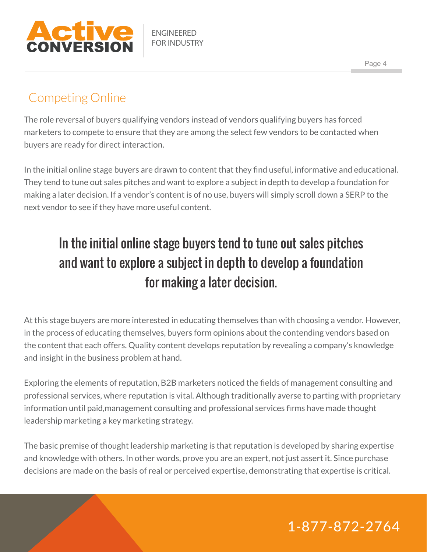

#### Competing Online

The role reversal of buyers qualifying vendors instead of vendors qualifying buyers has forced marketers to compete to ensure that they are among the select few vendors to be contacted when buyers are ready for direct interaction.

In the initial online stage buyers are drawn to content that they find useful, informative and educational. They tend to tune out sales pitches and want to explore a subject in depth to develop a foundation for making a later decision. If a vendor's content is of no use, buyers will simply scroll down a SERP to the next vendor to see if they have more useful content.

# In the initial online stage buyers tend to tune out sales pitches and want to explore a subject in depth to develop a foundation for making a later decision.

At this stage buyers are more interested in educating themselves than with choosing a vendor. However, in the process of educating themselves, buyers form opinions about the contending vendors based on the content that each offers. Quality content develops reputation by revealing a company's knowledge and insight in the business problem at hand.

Exploring the elements of reputation, B2B marketers noticed the fields of management consulting and professional services, where reputation is vital. Although traditionally averse to parting with proprietary information until paid,management consulting and professional services firms have made thought leadership marketing a key marketing strategy.

The basic premise of thought leadership marketing is that reputation is developed by sharing expertise and knowledge with others. In other words, prove you are an expert, not just assert it. Since purchase decisions are made on the basis of real or perceived expertise, demonstrating that expertise is critical.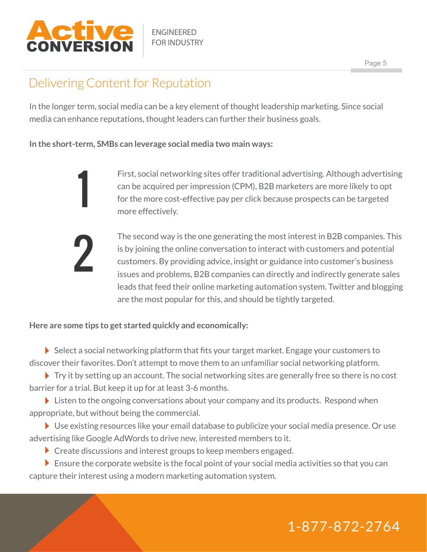

1

2

ENGINEERED FOR INDUSTRY

#### Delivering Content for Reputation

In the longer term, social media can be a key element of thought leadership marketing. Since social media can enhance reputations, thought leaders can further their business goals.

**In the short-term, SMBs can leverage social media two main ways:**

First, social networking sites offer traditional advertising. Although advertising can be acquired per impression (CPM), B2B marketers are more likely to opt for the more cost-effective pay per click because prospects can be targeted more effectively.

The second way is the one generating the most interest in B2B companies. This is by joining the online conversation to interact with customers and potential customers. By providing advice, insight or guidance into customer's business issues and problems, B2B companies can directly and indirectly generate sales leads that feed their online marketing automation system. Twitter and blogging are the most popular for this, and should be tightly targeted.

**Here are some tips to get started quickly and economically:**

Select a social networking platform that fits your target market. Engage your customers to discover their favorites. Don't attempt to move them to an unfamiliar social networking platform.

 $\blacktriangleright$  Try it by setting up an account. The social networking sites are generally free so there is no cost barrier for a trial. But keep it up for at least 3-6 months.

Eisten to the ongoing conversations about your company and its products. Respond when appropriate, but without being the commercial.

▶ Use existing resources like your email database to publicize your social media presence. Or use advertising like Google AdWords to drive new, interested members to it.

Create discussions and interest groups to keep members engaged.

 $\triangleright$  Ensure the corporate website is the focal point of your social media activities so that you can capture their interest using a modern marketing automation system.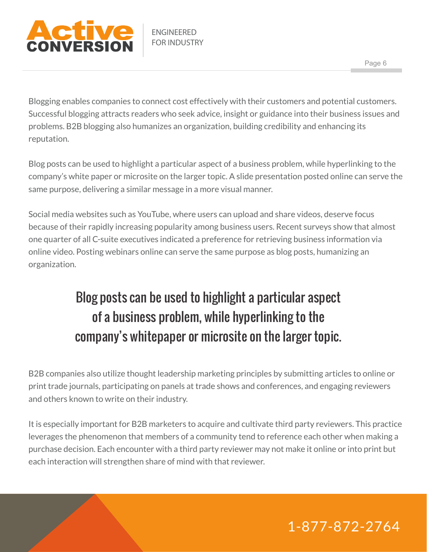

Blogging enables companies to connect cost effectively with their customers and potential customers. Successful blogging attracts readers who seek advice, insight or guidance into their business issues and problems. B2B blogging also humanizes an organization, building credibility and enhancing its reputation.

Blog posts can be used to highlight a particular aspect of a business problem, while hyperlinking to the company's white paper or microsite on the larger topic. A slide presentation posted online can serve the same purpose, delivering a similar message in a more visual manner.

Social media websites such as YouTube, where users can upload and share videos, deserve focus because of their rapidly increasing popularity among business users. Recent surveys show that almost one quarter of all C-suite executives indicated a preference for retrieving business information via online video. Posting webinars online can serve the same purpose as blog posts, humanizing an organization.

# Blog posts can be used to highlight a particular aspect of a business problem, while hyperlinking to the company's whitepaper or microsite on the larger topic.

B2B companies also utilize thought leadership marketing principles by submitting articles to online or print trade journals, participating on panels at trade shows and conferences, and engaging reviewers and others known to write on their industry.

It is especially important for B2B marketers to acquire and cultivate third party reviewers. This practice leverages the phenomenon that members of a community tend to reference each other when making a purchase decision. Each encounter with a third party reviewer may not make it online or into print but each interaction will strengthen share of mind with that reviewer.

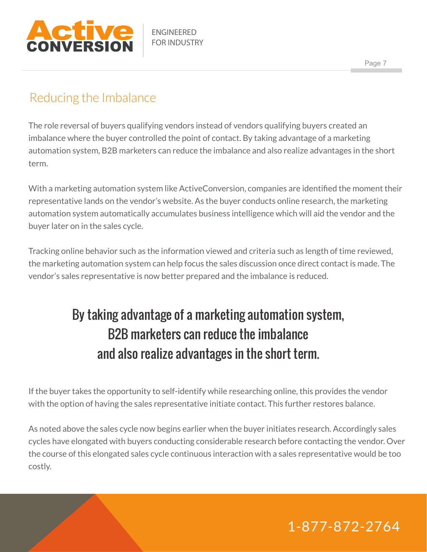

#### Reducing the Imbalance

The role reversal of buyers qualifying vendors instead of vendors qualifying buyers created an imbalance where the buyer controlled the point of contact. By taking advantage of a marketing automation system, B2B marketers can reduce the imbalance and also realize advantages in the short term.

With a marketing automation system like ActiveConversion, companies are identified the moment their representative lands on the vendor's website. As the buyer conducts online research, the marketing automation system automatically accumulates business intelligence which will aid the vendor and the buyer later on in the sales cycle.

Tracking online behavior such as the information viewed and criteria such as length of time reviewed, the marketing automation system can help focus the sales discussion once direct contact is made. The vendor's sales representative is now better prepared and the imbalance is reduced.

# By taking advantage of a marketing automation system, B2B marketers can reduce the imbalance and also realize advantages in the short term.

If the buyer takes the opportunity to self-identify while researching online, this provides the vendor with the option of having the sales representative initiate contact. This further restores balance.

As noted above the sales cycle now begins earlier when the buyer initiates research. Accordingly sales cycles have elongated with buyers conducting considerable research before contacting the vendor. Over the course of this elongated sales cycle continuous interaction with a sales representative would be too costly.

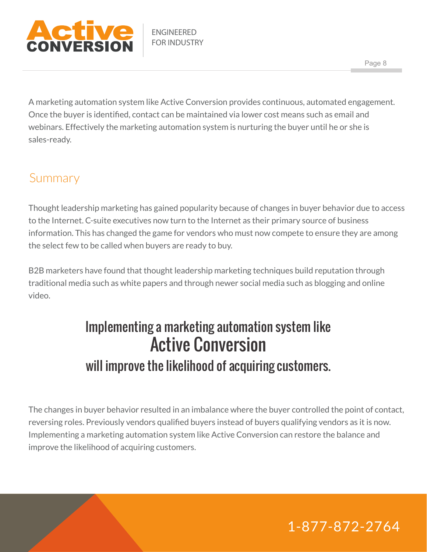

A marketing automation system like Active Conversion provides continuous, automated engagement. Once the buyer is identified, contact can be maintained via lower cost means such as email and webinars. Effectively the marketing automation system is nurturing the buyer until he or she is sales-ready.

#### Summary

Thought leadership marketing has gained popularity because of changes in buyer behavior due to access to the Internet. C-suite executives now turn to the Internet as their primary source of business information. This has changed the game for vendors who must now compete to ensure they are among the select few to be called when buyers are ready to buy.

B2B marketers have found that thought leadership marketing techniques build reputation through traditional media such as white papers and through newer social media such as blogging and online video.

# Implementing a marketing automation system like Active Conversion will improve the likelihood of acquiring customers.

The changes in buyer behavior resulted in an imbalance where the buyer controlled the point of contact, reversing roles. Previously vendors qualified buyers instead of buyers qualifying vendors as it is now. Implementing a marketing automation system like Active Conversion can restore the balance and improve the likelihood of acquiring customers.